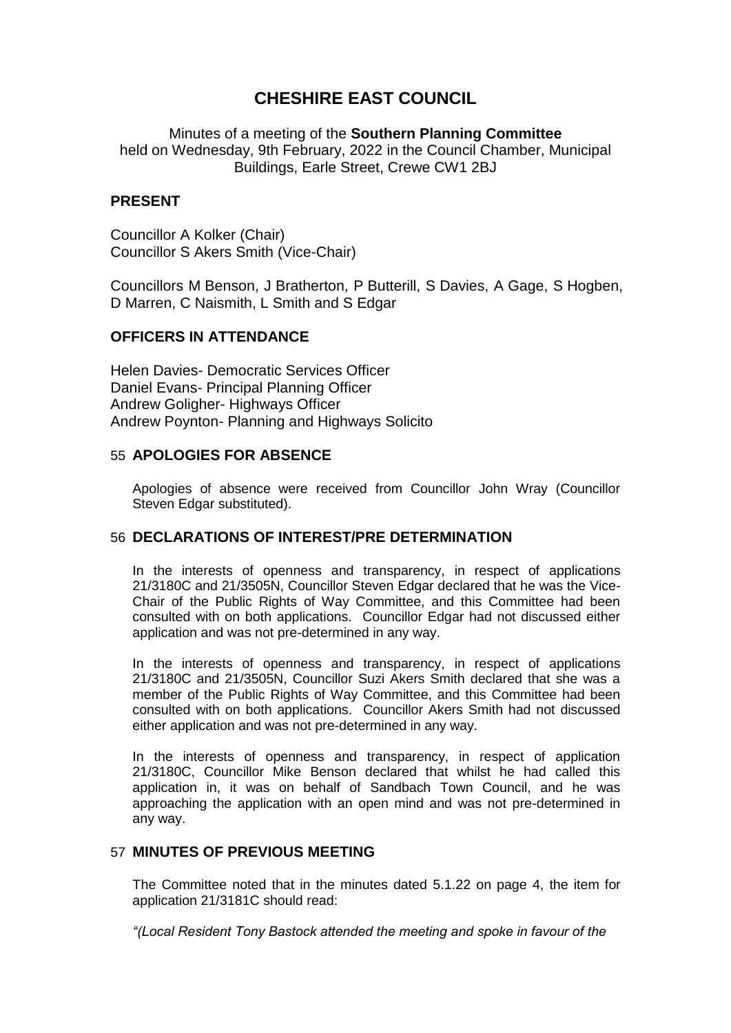# **CHESHIRE EAST COUNCIL**

Minutes of a meeting of the **Southern Planning Committee** held on Wednesday, 9th February, 2022 in the Council Chamber, Municipal Buildings, Earle Street, Crewe CW1 2BJ

### **PRESENT**

Councillor A Kolker (Chair) Councillor S Akers Smith (Vice-Chair)

Councillors M Benson, J Bratherton, P Butterill, S Davies, A Gage, S Hogben, D Marren, C Naismith, L Smith and S Edgar

## **OFFICERS IN ATTENDANCE**

Helen Davies- Democratic Services Officer Daniel Evans- Principal Planning Officer Andrew Goligher- Highways Officer Andrew Poynton- Planning and Highways Solicito

#### 55 **APOLOGIES FOR ABSENCE**

Apologies of absence were received from Councillor John Wray (Councillor Steven Edgar substituted).

#### 56 **DECLARATIONS OF INTEREST/PRE DETERMINATION**

In the interests of openness and transparency, in respect of applications 21/3180C and 21/3505N, Councillor Steven Edgar declared that he was the Vice-Chair of the Public Rights of Way Committee, and this Committee had been consulted with on both applications. Councillor Edgar had not discussed either application and was not pre-determined in any way.

In the interests of openness and transparency, in respect of applications 21/3180C and 21/3505N, Councillor Suzi Akers Smith declared that she was a member of the Public Rights of Way Committee, and this Committee had been consulted with on both applications. Councillor Akers Smith had not discussed either application and was not pre-determined in any way.

In the interests of openness and transparency, in respect of application 21/3180C, Councillor Mike Benson declared that whilst he had called this application in, it was on behalf of Sandbach Town Council, and he was approaching the application with an open mind and was not pre-determined in any way.

## 57 **MINUTES OF PREVIOUS MEETING**

The Committee noted that in the minutes dated 5.1.22 on page 4, the item for application 21/3181C should read:

*"(Local Resident Tony Bastock attended the meeting and spoke in favour of the*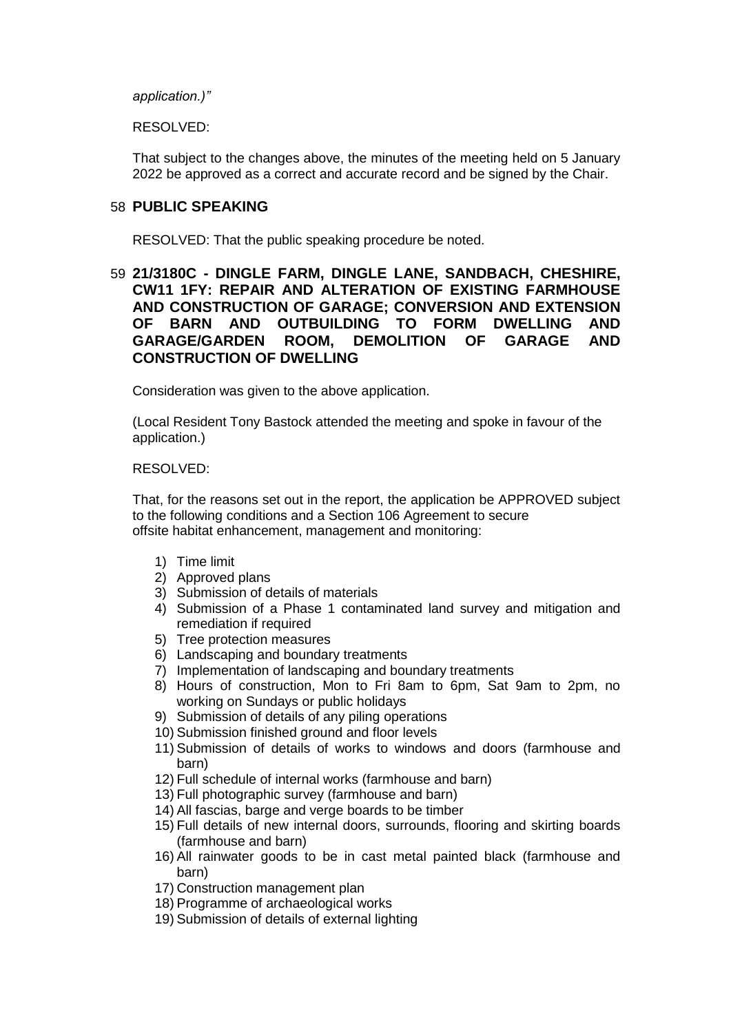*application.)"*

RESOLVED:

That subject to the changes above, the minutes of the meeting held on 5 January 2022 be approved as a correct and accurate record and be signed by the Chair.

#### 58 **PUBLIC SPEAKING**

RESOLVED: That the public speaking procedure be noted.

## 59 **21/3180C - DINGLE FARM, DINGLE LANE, SANDBACH, CHESHIRE, CW11 1FY: REPAIR AND ALTERATION OF EXISTING FARMHOUSE AND CONSTRUCTION OF GARAGE; CONVERSION AND EXTENSION OF BARN AND OUTBUILDING TO FORM DWELLING AND GARAGE/GARDEN ROOM, DEMOLITION OF GARAGE AND CONSTRUCTION OF DWELLING**

Consideration was given to the above application.

(Local Resident Tony Bastock attended the meeting and spoke in favour of the application.)

#### RESOLVED:

That, for the reasons set out in the report, the application be APPROVED subject to the following conditions and a Section 106 Agreement to secure offsite habitat enhancement, management and monitoring:

- 1) Time limit
- 2) Approved plans
- 3) Submission of details of materials
- 4) Submission of a Phase 1 contaminated land survey and mitigation and remediation if required
- 5) Tree protection measures
- 6) Landscaping and boundary treatments
- 7) Implementation of landscaping and boundary treatments
- 8) Hours of construction, Mon to Fri 8am to 6pm, Sat 9am to 2pm, no working on Sundays or public holidays
- 9) Submission of details of any piling operations
- 10) Submission finished ground and floor levels
- 11) Submission of details of works to windows and doors (farmhouse and barn)
- 12) Full schedule of internal works (farmhouse and barn)
- 13) Full photographic survey (farmhouse and barn)
- 14) All fascias, barge and verge boards to be timber
- 15) Full details of new internal doors, surrounds, flooring and skirting boards (farmhouse and barn)
- 16) All rainwater goods to be in cast metal painted black (farmhouse and barn)
- 17) Construction management plan
- 18) Programme of archaeological works
- 19) Submission of details of external lighting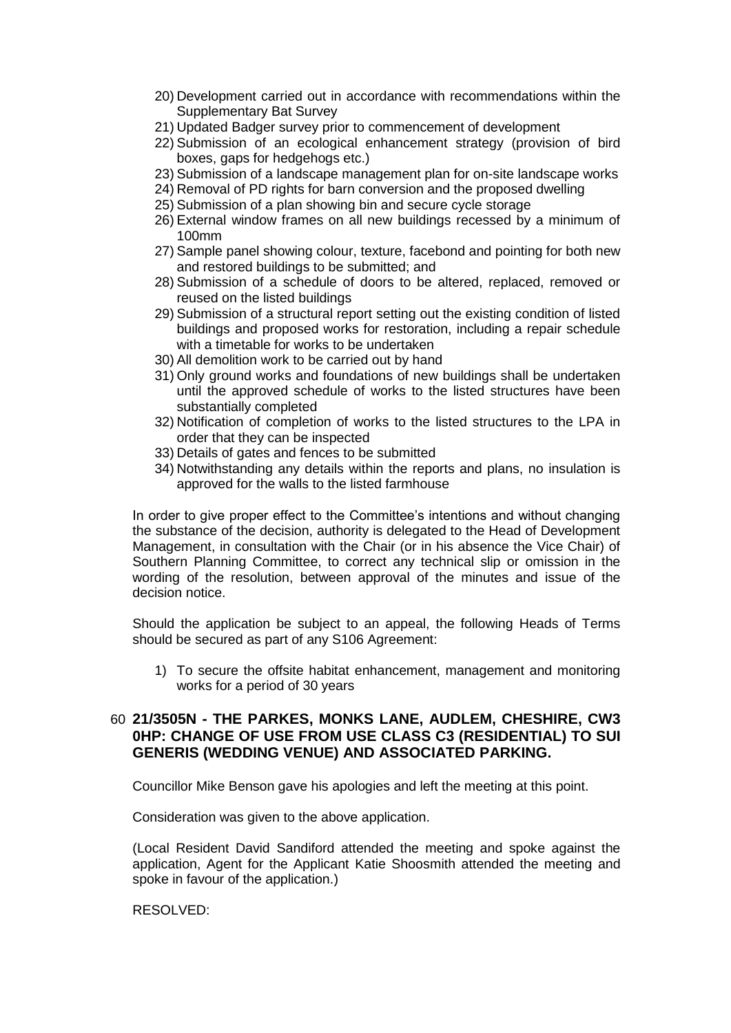- 20) Development carried out in accordance with recommendations within the Supplementary Bat Survey
- 21) Updated Badger survey prior to commencement of development
- 22) Submission of an ecological enhancement strategy (provision of bird boxes, gaps for hedgehogs etc.)
- 23) Submission of a landscape management plan for on-site landscape works
- 24) Removal of PD rights for barn conversion and the proposed dwelling
- 25) Submission of a plan showing bin and secure cycle storage
- 26) External window frames on all new buildings recessed by a minimum of 100mm
- 27) Sample panel showing colour, texture, facebond and pointing for both new and restored buildings to be submitted; and
- 28) Submission of a schedule of doors to be altered, replaced, removed or reused on the listed buildings
- 29) Submission of a structural report setting out the existing condition of listed buildings and proposed works for restoration, including a repair schedule with a timetable for works to be undertaken
- 30) All demolition work to be carried out by hand
- 31) Only ground works and foundations of new buildings shall be undertaken until the approved schedule of works to the listed structures have been substantially completed
- 32) Notification of completion of works to the listed structures to the LPA in order that they can be inspected
- 33) Details of gates and fences to be submitted
- 34) Notwithstanding any details within the reports and plans, no insulation is approved for the walls to the listed farmhouse

In order to give proper effect to the Committee's intentions and without changing the substance of the decision, authority is delegated to the Head of Development Management, in consultation with the Chair (or in his absence the Vice Chair) of Southern Planning Committee, to correct any technical slip or omission in the wording of the resolution, between approval of the minutes and issue of the decision notice.

Should the application be subject to an appeal, the following Heads of Terms should be secured as part of any S106 Agreement:

1) To secure the offsite habitat enhancement, management and monitoring works for a period of 30 years

## 60 **21/3505N - THE PARKES, MONKS LANE, AUDLEM, CHESHIRE, CW3 0HP: CHANGE OF USE FROM USE CLASS C3 (RESIDENTIAL) TO SUI GENERIS (WEDDING VENUE) AND ASSOCIATED PARKING.**

Councillor Mike Benson gave his apologies and left the meeting at this point.

Consideration was given to the above application.

(Local Resident David Sandiford attended the meeting and spoke against the application, Agent for the Applicant Katie Shoosmith attended the meeting and spoke in favour of the application.)

RESOLVED: